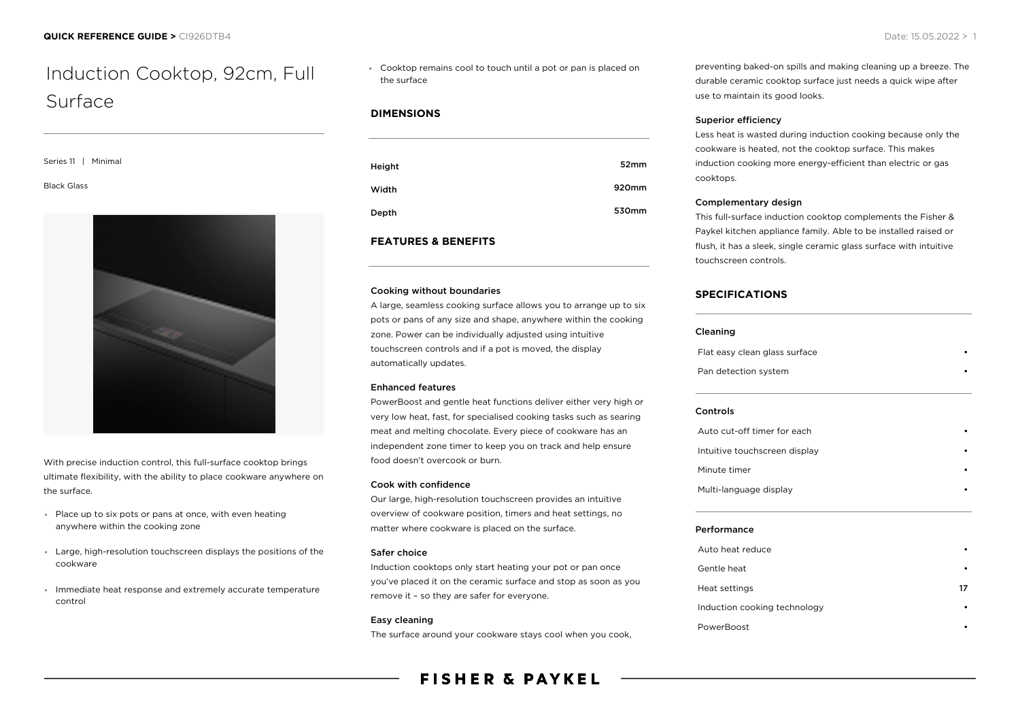# Induction Cooktop, 92cm, Full Surface

Series 11 | Minimal

Black Glass



With precise induction control, this full-surface cooktop brings ultimate flexibility, with the ability to place cookware anywhere on the surface.

- Place up to six pots or pans at once, with even heating anywhere within the cooking zone
- Large, high-resolution touchscreen displays the positions of the cookware
- Immediate heat response and extremely accurate temperature control

Cooktop remains cool to touch until a pot or pan is placed on the surface

# **DIMENSIONS**

| Height | 52mm  |
|--------|-------|
| Width  | 920mm |
| Depth  | 530mm |

#### **FEATURES & BENEFITS**

#### Cooking without boundaries

A large, seamless cooking surface allows you to arrange up to six pots or pans of any size and shape, anywhere within the cooking zone. Power can be individually adjusted using intuitive touchscreen controls and if a pot is moved, the display automatically updates.

#### Enhanced features

PowerBoost and gentle heat functions deliver either very high or very low heat, fast, for specialised cooking tasks such as searing meat and melting chocolate. Every piece of cookware has an independent zone timer to keep you on track and help ensure food doesn't overcook or burn.

#### Cook with confidence

Our large, high-resolution touchscreen provides an intuitive overview of cookware position, timers and heat settings, no matter where cookware is placed on the surface.

#### Safer choice

Induction cooktops only start heating your pot or pan once you've placed it on the ceramic surface and stop as soon as you remove it – so they are safer for everyone.

#### Easy cleaning

The surface around your cookware stays cool when you cook,

# **FISHER & PAYKEL**

preventing baked-on spills and making cleaning up a breeze. The durable ceramic cooktop surface just needs a quick wipe after use to maintain its good looks.

#### Superior efficiency

Less heat is wasted during induction cooking because only the cookware is heated, not the cooktop surface. This makes induction cooking more energy-efficient than electric or gas cooktops.

#### Complementary design

This full-surface induction cooktop complements the Fisher & Paykel kitchen appliance family. Able to be installed raised or flush, it has a sleek, single ceramic glass surface with intuitive touchscreen controls.

# **SPECIFICATIONS**

#### Cleaning

Flat easy clean glass surface Pan detection system

#### Controls

| Auto cut-off timer for each   |  |
|-------------------------------|--|
| Intuitive touchscreen display |  |
| Minute timer                  |  |
| Multi-language display        |  |

#### Performance

| Auto heat reduce             | ٠  |
|------------------------------|----|
| Gentle heat                  |    |
| Heat settings                | 17 |
| Induction cooking technology |    |
| PowerBoost                   |    |